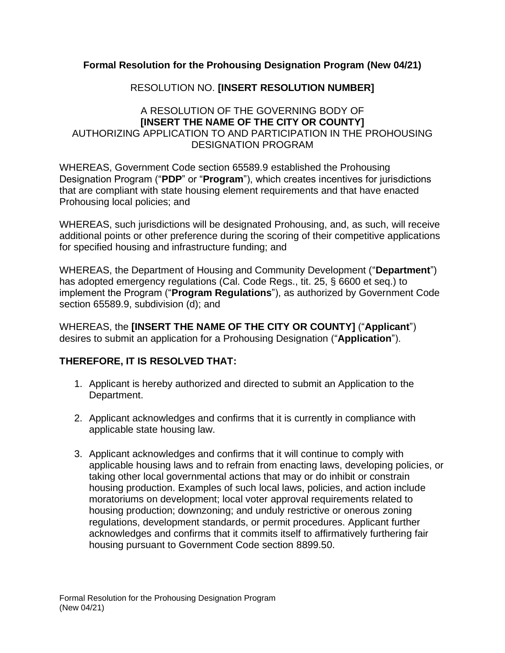## **Formal Resolution for the Prohousing Designation Program (New 04/21)**

## RESOLUTION NO. **[INSERT RESOLUTION NUMBER]**

## A RESOLUTION OF THE GOVERNING BODY OF **[INSERT THE NAME OF THE CITY OR COUNTY]** AUTHORIZING APPLICATION TO AND PARTICIPATION IN THE PROHOUSING DESIGNATION PROGRAM

WHEREAS, Government Code section 65589.9 established the Prohousing Designation Program ("**PDP**" or "**Program**"), which creates incentives for jurisdictions that are compliant with state housing element requirements and that have enacted Prohousing local policies; and

WHEREAS, such jurisdictions will be designated Prohousing, and, as such, will receive additional points or other preference during the scoring of their competitive applications for specified housing and infrastructure funding; and

WHEREAS, the Department of Housing and Community Development ("**Department**") has adopted emergency regulations (Cal. Code Regs., tit. 25, § 6600 et seq.) to implement the Program ("**Program Regulations**"), as authorized by Government Code section 65589.9, subdivision (d); and

WHEREAS, the **[INSERT THE NAME OF THE CITY OR COUNTY]** ("**Applicant**") desires to submit an application for a Prohousing Designation ("**Application**").

## **THEREFORE, IT IS RESOLVED THAT:**

- 1. Applicant is hereby authorized and directed to submit an Application to the Department.
- 2. Applicant acknowledges and confirms that it is currently in compliance with applicable state housing law.
- 3. Applicant acknowledges and confirms that it will continue to comply with applicable housing laws and to refrain from enacting laws, developing policies, or taking other local governmental actions that may or do inhibit or constrain housing production. Examples of such local laws, policies, and action include moratoriums on development; local voter approval requirements related to housing production; downzoning; and unduly restrictive or onerous zoning regulations, development standards, or permit procedures. Applicant further acknowledges and confirms that it commits itself to affirmatively furthering fair housing pursuant to Government Code section 8899.50.